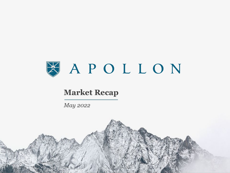

# **Market Recap**

*May 2022*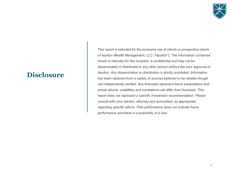

# **Disclosure**

*This report is intended for the exclusive use of clients or prospective clients of Apollon Wealth Management, LLC ("Apollon"). The information contained herein is intended for the recipient, is confidential and may not be disseminated or distributed to any other person without the prior approval of Apollon. Any dissemination or distribution is strictly prohibited. Information has been obtained from a variety of sources believed to be reliable though not independently verified. Any forecasts represent future expectations and actual returns; volatilities and correlations will differ from forecasts. This report does not represent a specific investment recommendation. Please consult with your advisor, attorney and accountant, as appropriate, regarding specific advice. Past performance does not indicate future performance and there is a possibility of a loss.*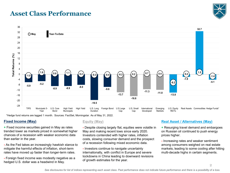# **Asset Class Performance**





\*Hedge fund returns are lagged 1 month. Sources: FactSet, Morningstar. As of May 31, 2022.

#### **Fixed Income (May)**

**+** Fixed income securities gained in May as rates trended lower as markets priced in somewhat higher chances of a recession with weaker economic data than earlier in the year.

**-** As the Fed takes an increasingly hawkish stance to mitigate the harmful effects of inflation, short-term rates have moved up faster than longer-term rates.

**-** Foreign fixed income was modestly negative as a hedged U.S. dollar was a headwind in May.

#### **Equity (May)**

**-** Despite closing largely flat, equities were volatile in May and making recent lows since early 2020. Investors contended with higher rates, inflation costs, slowing consumer demand and the prospect of a recession following mixed economic data.

**-** Investors continue to navigate uncertainty internationally, with conflict in Europe and severe lockdowns in China leading to downward revisions of growth estimates for the year.

# **Real Asset / Alternatives (May)**

**+** Resurging travel demand and embargoes on Russian oil continued to push energy prices higher.

**-** Increasing rates and weaker sentiment among consumers weighed on real estate markets, leading to some cooling after hitting multi-decade highs in certain segments.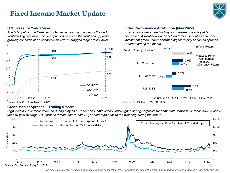# **Fixed Income Market Update**



### **U.S. Treasury Yield Curve**

*The U.S. yield curve flattened in May as increasing chances of the Fed front-loading rate hikes this year pushed yields on the front end up, while growing concerns of an economic slowdown dragged longer rates lower.*



# **Index Performance Attribution (May 2022)**

*Fixed income rebounded in May as investment grade yields decreased. A weaker dollar benefited foreign securities and noninvestment grade underperformed higher quality bonds as spreads widened during the month.*



#### **Credit Market Spreads – Trailing 5 Years**

*High yield bond spreads widened during May as a weaker economic outlook outweighed strong corporate fundamentals. While IG spreads now sit above their 10-year average, HY spreads remain below their 10-year average despite the widening during the month.*



*See disclosures for list of indices representing each asset class. Past performance does not indicate future performance and there is a possibility of a loss.*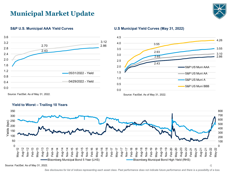# **Municipal Market Update**



4



**S&P U.S. Municipal AAA Yield Curves U.S Municipal Yield Curves (May 31, 2022)**





**Yield to Worst – Trailing 10 Years**

Source: FactSet. As of May 31, 2022.

*See disclosures for list of indices representing each asset class. Past performance does not indicate future performance and there is a possibility of a loss.*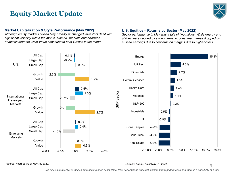# **Equity Market Update**



#### **Market Capitalization & Style Performance (May 2022)**

*Although equity markets closed May broadly unchanged, investors dealt with significant volatility within the month. Non-US markets outperformed domestic markets while Value continued to beat Growth in the month.*

# **U.S. Equities – Returns by Sector (May 2022)**

*Sector performance in May was a tale of two halves. While energy and utilities were buoyed by strong demand, consumer names dropped on missed earnings due to concerns on margins due to higher costs.*



#### Source: FactSet. As of May 31, 2022. Source: FactSet. As of May 31, 2022.

*See disclosures for list of indices representing each asset class. Past performance does not indicate future performance and there is a possibility of a loss.*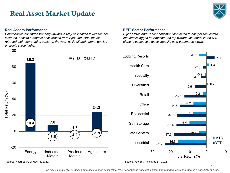# **Real Asset Market Update**



#### **Real Assets Performance**

*Commodities continued trending upward in May as inflation levels remain elevated, despite a modest deceleration from April. Industrial metals retraced their sharp gains earlier in the year, while oil and natural gas led energy's surge higher.*



#### **REIT Sector Performance**

*Higher rates and weaker sentiment continued to hamper real estate. Industrials lagged as Amazon, the top warehouse tenant in the U.S., plans to sublease excess capacity as e-commerce slows.*

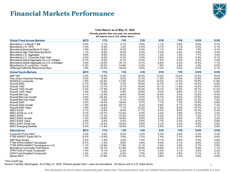# **Financial Markets Performance**



#### **Total Return as of May 31, 2022** *Periods greater than one year are annualized All returns are in U.S. dollar terms*

| <b>Global Fixed Income Markets</b>          | <b>MTD</b> | <b>YTD</b> | 1YR      | 3YR     | 5YR     | 7YR     | <b>10YR</b> | <b>15YR</b> |
|---------------------------------------------|------------|------------|----------|---------|---------|---------|-------------|-------------|
| Bloomberg 1-3-Month T-Bill                  | 0.0%       | 0.1%       | 0.1%     | 0.6%    | 1.1%    | 0.8%    | 0.6%        | 0.7%        |
| Bloomberg U.S. TIPS                         | $-1.0%$    | $-5.9%$    | $-1.4%$  | 4.4%    | 3.7%    | 3.1%    | 2.0%        | 4.1%        |
| Bloomberg Municipal Bond (5 Year)           | 1.6%       | $-5.2%$    | $-5.0%$  | 0.4%    | 1.1%    | 1.6%    | 1.6%        | 3.1%        |
| Bloomberg High Yield Municipal Bond         | 1.1%       | $-8.9%$    | $-6.3%$  | 2.4%    | 4.3%    | 4.4%    | 4.8%        | 4.4%        |
| Bloomberg U.S. Aggregate                    | 0.6%       | $-8.9%$    | $-8.2%$  | 0.0%    | 1.2%    | 1.5%    | 1.7%        | 3.4%        |
| Bloomberg U.S. Corporate High Yield         | 0.2%       | $-8.0%$    | $-5.3%$  | 3.3%    | 3.6%    | 4.3%    | 5.4%        | 6.1%        |
| Bloomberg Global Aggregate ex-U.S. Hedged   | $-0.7%$    | $-6.5%$    | $-6.1%$  | $-0.4%$ | 1.5%    | 2.0%    | 2.8%        | 3.5%        |
| Bloomberg Global Aggregate ex-U.S. Unhedged | 0.0%       | $-12.6%$   | $-16.7%$ | $-2.7%$ | $-0.9%$ | 0.4%    | $-0.5%$     | 1.7%        |
| Bloomberg U.S. Long Gov / Credit            | $-0.3%$    | $-19.5%$   | $-14.8%$ | $-0.4%$ | 1.8%    | 2.6%    | 2.9%        | 5.5%        |
| JPMorgan GBI-EM Global Diversified          | 1.8%       | $-10.5%$   | $-16.5%$ | $-2.6%$ | $-1.3%$ | 0.0%    | $-0.5%$     | 2.1%        |
| <b>Global Equity Markets</b>                | <b>MTD</b> | <b>YTD</b> | 1YR      | 3YR     | 5YR     | 7YR     | <b>10YR</b> | <b>15YR</b> |
| S&P 500                                     | 0.2%       | $-12.8%$   | $-0.3%$  | 16.4%   | 13.4%   | 12.2%   | 14.4%       | 9.0%        |
| Dow Jones Industrial Average                | 0.3%       | $-8.4%$    | $-2.6%$  | 12.3%   | 11.9%   | 11.6%   | 12.9%       | 8.8%        |
| NASDAQ Composite                            | $-1.9%$    | $-22.5%$   | $-11.5%$ | 18.4%   | 15.3%   | 14.3%   | 16.9%       | 11.9%       |
| Russell 3000                                | $-0.1%$    | $-13.9%$   | $-3.7%$  | 15.6%   | 12.7%   | 11.5%   | 14.0%       | 8.9%        |
| Russell 1000                                | $-0.2%$    | $-13.7%$   | $-2.7%$  | 16.0%   | 13.1%   | 11.9%   | 14.2%       | 9.0%        |
| Russell 1000 Growth                         | $-2.3%$    | $-21.9%$   | $-6.3%$  | 18.3%   | 16.1%   | 14.5%   | 16.1%       | 11.2%       |
| Russell 1000 Value                          | 1.9%       | $-4.5%$    | 0.9%     | 12.8%   | 9.5%    | 8.8%    | 12.1%       | 6.6%        |
| Russell Mid Cap                             | 0.1%       | $-12.9%$   | $-6.8%$  | 12.9%   | 10.5%   | 9.3%    | 12.8%       | 8.4%        |
| Russell Mid Cap Growth                      | $-3.9%$    | $-25.4%$   | $-18.7%$ | 9.4%    | 10.7%   | 9.3%    | 12.6%       | 8.6%        |
| Russell Mid Cap Value                       | 1.9%       | $-5.9%$    | $-0.1%$  | 13.4%   | 9.1%    | 8.5%    | 12.3%       | 7.5%        |
| Russell 2000                                | 0.2%       | $-16.6%$   | $-16.9%$ | 9.7%    | 7.7%    | 7.3%    | 10.8%       | 6.8%        |
| Russell 2000 Growth                         | $-1.9%$    | $-24.8%$   | $-25.7%$ | 6.2%    | 6.9%    | 6.1%    | 10.6%       | 7.2%        |
| Russell 2000 Value                          | 1.9%       | $-8.2%$    | $-7.7%$  | 12.2%   | 7.8%    | 8.0%    | 10.7%       | 6.1%        |
| <b>MSCI ACWI</b>                            | 0.1%       | $-12.8%$   | $-6.8%$  | 11.7%   | 9.0%    | 8.0%    | 10.3%       | 5.4%        |
| MSCI ACWI ex. U.S.                          | 0.7%       | $-10.7%$   | $-12.4%$ | 6.5%    | 4.4%    | 3.8%    | 6.4%        | 2.2%        |
| <b>MSCI EAFE</b>                            | 0.7%       | $-11.3%$   | $-10.4%$ | 6.4%    | 4.2%    | 3.7%    | 7.2%        | 2.1%        |
| <b>MSCI EAFE Growth</b>                     | $-1.2%$    | $-19.9%$   | $-16.6%$ | 6.6%    | 5.2%    | 4.8%    | 7.8%        | 3.2%        |
| <b>MSCI EAFE Value</b>                      | 2.5%       | $-2.4%$    | $-4.5%$  | 5.6%    | 2.7%    | 2.2%    | 6.2%        | 0.8%        |
| <b>MSCI EAFE Small Cap</b>                  | $-0.7%$    | $-15.4%$   | $-16.0%$ | 6.6%    | 4.1%    | 5.3%    | 8.9%        | 3.6%        |
| <b>MSCI Emerging Markets</b>                | 0.4%       | $-11.8%$   | $-19.8%$ | 5.0%    | 3.8%    | 3.4%    | 4.2%        | 2.8%        |
| <b>Alternatives</b>                         | <b>MTD</b> | <b>YTD</b> | 1YR      | 3YR     | 5YR     | 7YR     | <b>10YR</b> | <b>15YR</b> |
| Consumer Price Index*                       | 0.3%       | 3.0%       | 8.2%     | 4.2%    | 3.4%    | 2.9%    | 2.3%        | 2.3%        |
| <b>FTSE NAREIT Equity REITs</b>             | $-6.2%$    | $-13.8%$   | 3.9%     | 7.2%    | 7.4%    | 7.2%    | 8.8%        | 5.6%        |
| <b>S&amp;P Real Assets</b>                  | 0.2%       | $-1.9%$    | 2.9%     | 7.3%    | 6.1%    | 4.9%    | 5.5%        | 4.8%        |
| FTSE EPRA NAREIT Developed                  | $-5.7%$    | $-7.5%$    | 9.9%     | 4.8%    | 6.0%    | 5.1%    | 8.8%        | 4.5%        |
| FTSE EPRA NAREIT Developed ex U.S.          | $-1.1%$    | $-10.9%$   | $-11.9%$ | $-0.1%$ | 2.5%    | 2.5%    | 5.7%        | 0.9%        |
| <b>Bloomberg Commodity Total Return</b>     | 1.5%       | 32.7%      | 41.9%    | 19.8%   | 10.9%   | 4.7%    | 0.9%        | $-1.1%$     |
| HFRI Fund of Funds Composite*               | $-1.4%$    | $-4.1%$    | $-2.2%$  | 5.1%    | 4.2%    | 3.1%    | 3.8%        | 2.2%        |
| HFRI Fund Weighted Composite*               | $-1.4%$    | $-2.3%$    | $-0.5%$  | 7.5%    | 5.9%    | 4.8%    | 5.1%        | 4.1%        |
| Alerian MLP                                 | 7.7%       | 27.9%      | 27.5%    | 6.1%    | 2.6%    | $-1.2%$ | 2.6%        | 4.8%        |

\*One month lag.

Source: FactSet, Morningstar. As of May 31, 2022. Periods greater than 1 year are annualized. All returns are in U.S. dollar terms.

7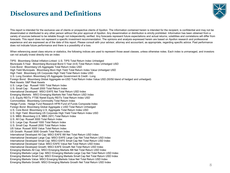# **Disclosures and Definitions**



This report is intended for the exclusive use of clients or prospective clients of Apollon. The information contained herein is intended for the recipient, is confidential and may not be disseminated or distributed to any other person without the prior approval of Apollon. Any dissemination or distribution is strictly prohibited. Information has been obtained from a variety of sources believed to be reliable though not independently verified. Any forecasts represent future expectations and actual returns; volatilities and correlations will differ from forecasts. This report does not represent a specific investment recommendation. The opinions and analysis expressed herein are based on Apollon research and professional experience and are expressed as of the date of this report. Please consult with your advisor, attorney and accountant, as appropriate, regarding specific advice. Past performance does not indicate future performance and there is a possibility of a loss.

When referencing asset class returns or statistics, the following indices are used to represent those asset classes, unless otherwise notes. Each index is unmanaged, and investors can not actually invest directly into an index:

TIPS: Bloomberg Global Inflation-Linked: U.S. TIPS Total Return Index Unhedged Municipals 5-Year: Bloomberg Municipal Bond 5 Year (4-6) Total Return Index Unhedged USD Core Bond: Bloomberg US Aggregate Total Return Index USD High Yield Municipals: Bloomberg Muni High Yield Total Return Index Value Unhedged USD High Yield: Bloomberg US Corporate High Yield Total Return Index USD U.S. Long Duration: Bloomberg US Aggregate Government & Credit - Long Foreign Bond: Bloomberg Global Aggregate ex-USD Total Return Index Value USD (50/50 blend of hedged and unhedged) Real Assets: S&P Real Assets U.S. Large Cap: Russell 1000 Total Return Index U.S. Small Cap : Russell 2000 Total Return Index International Developed: MSCI EAFE Net Total Return USD Index Emerging Markets: MSCI Emerging Markets Net Total Return USD Index U.S. Equity REITs: FTSE Nareit Equity REITs Total Return Index USD Commodities: Bloomberg Commodity Total Return Index Hedge Funds: Hedge Fund Research HFRI Fund of Funds Composite Index Foreign Bond: Bloomberg Global Aggregate x USD Total Return Unhedged U.S. Core Bond: Bloomberg U.S. Aggregate Total Return Index USD U.S. High Yield: Bloomberg US Corporate High Yield Total Return Index USD U.S. MBS: Bloomberg U.S. MBS (30Y) Total Return Index U.S. All Cap: Russell 3000 Total Return Index U.S. Large Cap: Russell 1000 Total Return Index U.S. Small Cap: Russell 2000 Total Return Index US Value: Russell 3000 Value Total Return Index US Growth: Russell 3000 Growth Total Return Index International Developed All Cap: MSCI EAFE IMI Net Total Return USD Index International Developed Large Cap: MSCI EAFE Large Cap Net Total Return USD Index International Developed Small Cap: MSCI EAFE Small Cap Net Total Return USD Index International Developed Value: MSCI EAFE Value Net Total Return USD Index International Developed Growth: MSCI EAFE Growth Net Total Return USD Index Emerging Markets All Cap: MSCI Emerging Markets IMI Net Total Return USD Index Emerging Markets Large Cap: MSCI Emerging Markets Large Cap Net Total Return USD Index Emerging Markets Small Cap: MSCI Emerging Markets Small Cap Net Total Return USD Index Emerging Markets Value: MSCI Emerging Markets Value Net Total Return USD Index Emerging Markets Growth: MSCI Emerging Markets Growth Net Total Return USD Index